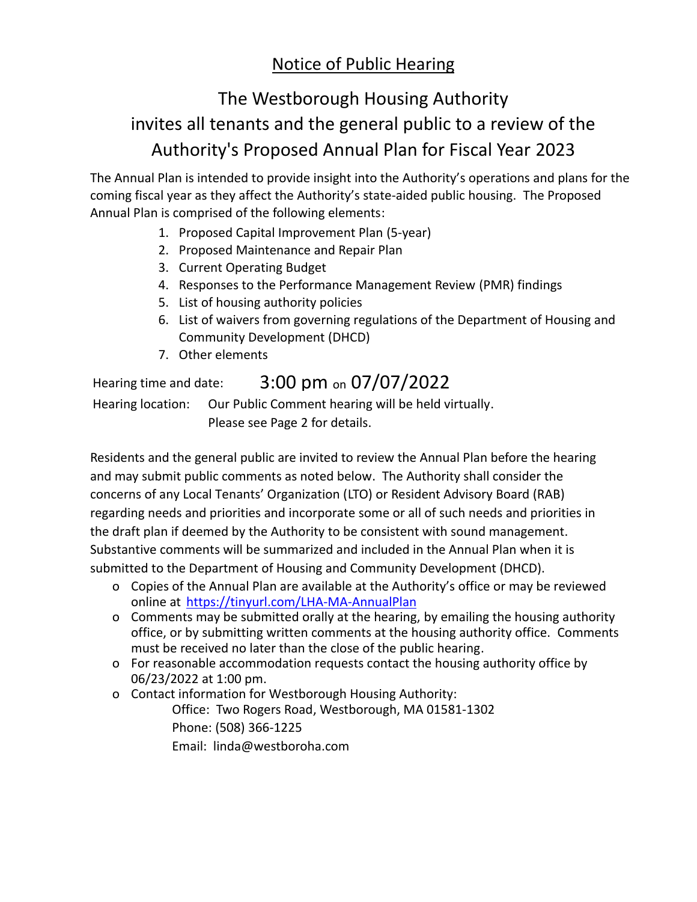## Notice of Public Hearing

# The Westborough Housing Authority invites all tenants and the general public to a review of the Authority's Proposed Annual Plan for Fiscal Year 2023

The Annual Plan is intended to provide insight into the Authority's operations and plans for the coming fiscal year as they affect the Authority's state-aided public housing. The Proposed Annual Plan is comprised of the following elements:

- 1. Proposed Capital Improvement Plan (5-year)
- 2. Proposed Maintenance and Repair Plan
- 3. Current Operating Budget
- 4. Responses to the Performance Management Review (PMR) findings
- 5. List of housing authority policies
- 6. List of waivers from governing regulations of the Department of Housing and Community Development (DHCD)
- 7. Other elements

# Hearing time and date: 3:00 pm on 07/07/2022

Hearing location: Our Public Comment hearing will be held virtually. Please see Page 2 for details.

Residents and the general public are invited to review the Annual Plan before the hearing and may submit public comments as noted below. The Authority shall consider the concerns of any Local Tenants' Organization (LTO) or Resident Advisory Board (RAB) regarding needs and priorities and incorporate some or all of such needs and priorities in the draft plan if deemed by the Authority to be consistent with sound management. Substantive comments will be summarized and included in the Annual Plan when it is submitted to the Department of Housing and Community Development (DHCD).

- o Copies of the Annual Plan are available at the Authority's office or may be reviewed online at <https://tinyurl.com/LHA-MA-AnnualPlan>
- o Comments may be submitted orally at the hearing, by emailing the housing authority office, or by submitting written comments at the housing authority office. Comments must be received no later than the close of the public hearing.
- o For reasonable accommodation requests contact the housing authority office by 06/23/2022 at 1:00 pm.
- o Contact information for Westborough Housing Authority:

Office: Two Rogers Road, Westborough, MA 01581-1302 Phone: (508) 366-1225

Email: linda@westboroha.com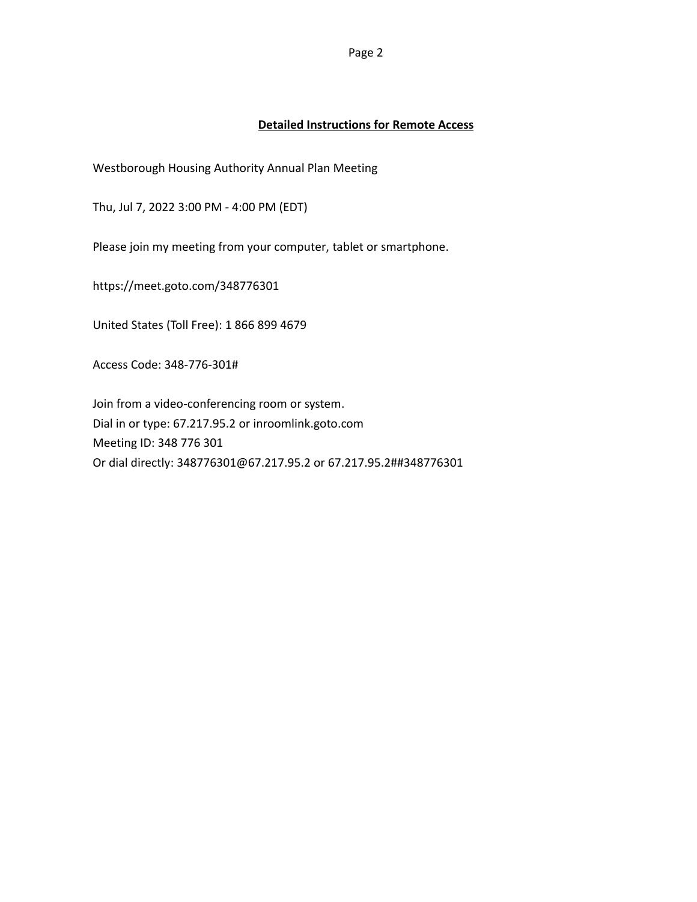Page 2

### **Detailed Instructions for Remote Access**

Westborough Housing Authority Annual Plan Meeting

Thu, Jul 7, 2022 3:00 PM - 4:00 PM (EDT)

Please join my meeting from your computer, tablet or smartphone.

https://meet.goto.com/348776301

United States (Toll Free): 1 866 899 4679

Access Code: 348-776-301#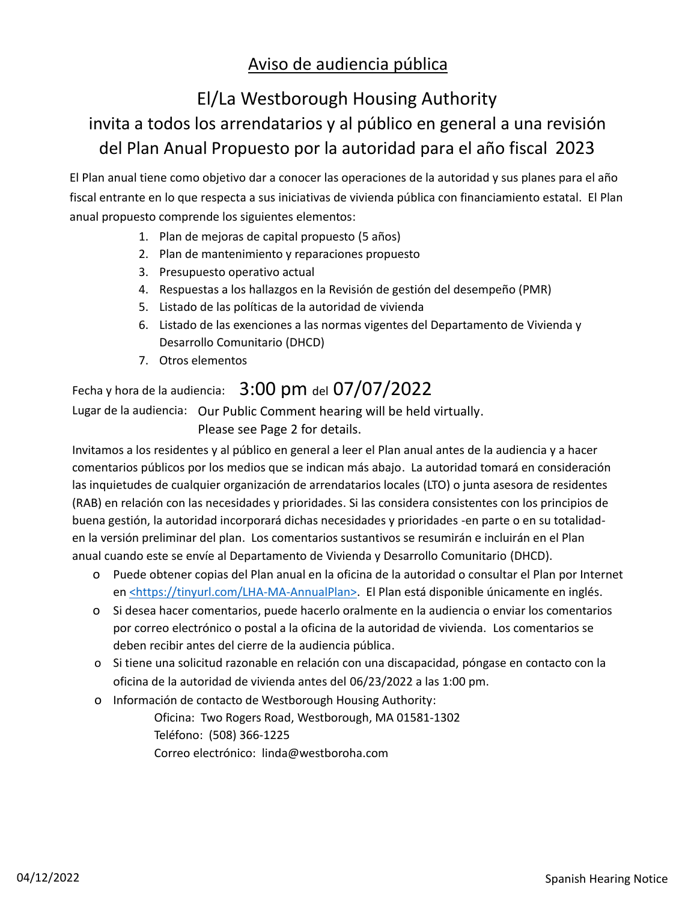## Aviso de audiencia pública

# El/La Westborough Housing Authority invita a todos los arrendatarios y al público en general a una revisión del Plan Anual Propuesto por la autoridad para el año fiscal 2023

El Plan anual tiene como objetivo dar a conocer las operaciones de la autoridad y sus planes para el año fiscal entrante en lo que respecta a sus iniciativas de vivienda pública con financiamiento estatal. El Plan anual propuesto comprende los siguientes elementos:

- 1. Plan de mejoras de capital propuesto (5 años)
- 2. Plan de mantenimiento y reparaciones propuesto
- 3. Presupuesto operativo actual
- 4. Respuestas a los hallazgos en la Revisión de gestión del desempeño (PMR)
- 5. Listado de las políticas de la autoridad de vivienda
- 6. Listado de las exenciones a las normas vigentes del Departamento de Vivienda y Desarrollo Comunitario (DHCD)
- 7. Otros elementos

### Fecha y hora de la audiencia: 3:00 pm del 07/07/2022

Lugar de la audiencia: Our Public Comment hearing will be held virtually. Please see Page 2 for details.

Invitamos a los residentes y al público en general a leer el Plan anual antes de la audiencia y a hacer comentarios públicos por los medios que se indican más abajo. La autoridad tomará en consideración las inquietudes de cualquier organización de arrendatarios locales (LTO) o junta asesora de residentes (RAB) en relación con las necesidades y prioridades. Si las considera consistentes con los principios de buena gestión, la autoridad incorporará dichas necesidades y prioridades -en parte o en su totalidaden la versión preliminar del plan. Los comentarios sustantivos se resumirán e incluirán en el Plan anual cuando este se envíe al Departamento de Vivienda y Desarrollo Comunitario (DHCD).

- o Puede obtener copias del Plan anual en la oficina de la autoridad o consultar el Plan por Internet en <https://tinyurl.com/LHA-MA-AnnualPlan>. El Plan está disponible únicamente en inglés.
- o Si desea hacer comentarios, puede hacerlo oralmente en la audiencia o enviar los comentarios por correo electrónico o postal a la oficina de la autoridad de vivienda. Los comentarios se deben recibir antes del cierre de la audiencia pública.
- o Si tiene una solicitud razonable en relación con una discapacidad, póngase en contacto con la oficina de la autoridad de vivienda antes del 06/23/2022 a las 1:00 pm.
- o Información de contacto de Westborough Housing Authority: Oficina: Two Rogers Road, Westborough, MA 01581-1302 Teléfono: (508) 366-1225 Correo electrónico: linda@westboroha.com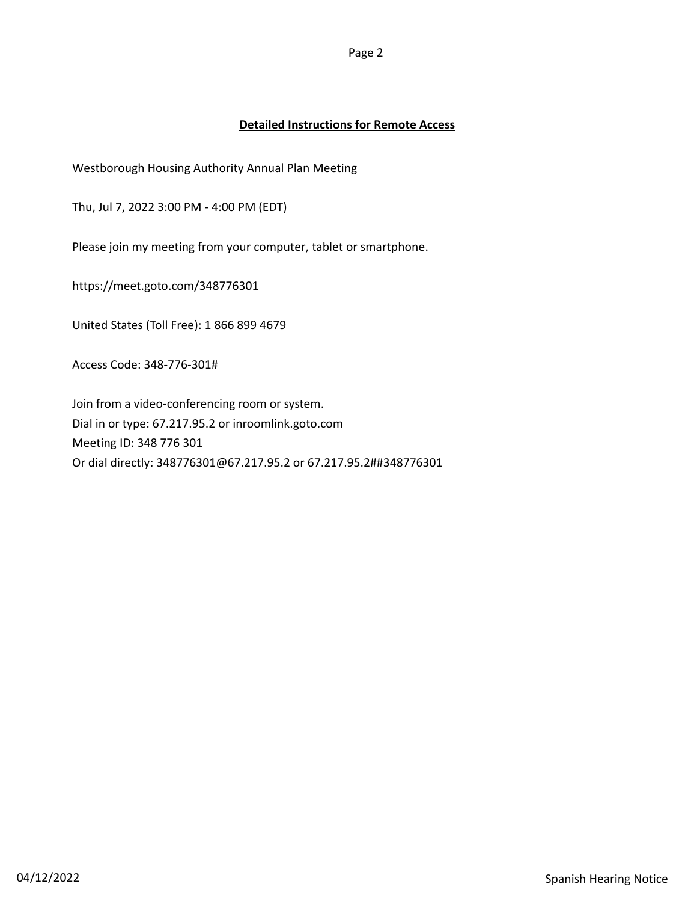Westborough Housing Authority Annual Plan Meeting

Thu, Jul 7, 2022 3:00 PM - 4:00 PM (EDT)

Please join my meeting from your computer, tablet or smartphone.

https://meet.goto.com/348776301

United States (Toll Free): 1 866 899 4679

Access Code: 348-776-301#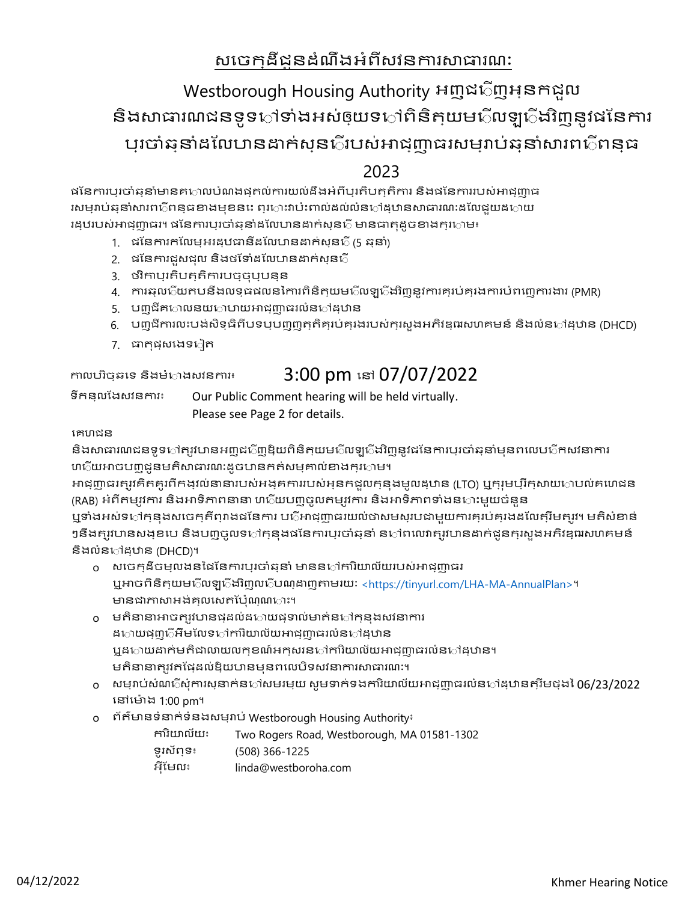## សចេក្កដីជូនដំណឹងអំពីសវនការសាធារណ:

# Westborough Housing Authority អញ្ជជញអ្នកជួល និងសាធារណជនទូទ឴ៅទាំងអស់ឲ្យយទៅពិនិត្យយមជិលឡជើងវិញនូវផនែការ ប្រចកំឆ្នកំដផលបកនដកក់ស្នជរបស់អកជ្ញកធរសម្រកប់ឆ្នកំសករពជពន្ធ

### 2023

ផនែការបុរចាំឆ្មួនាំមានគាហាបបំណងផ្ទុកល់ការយល់ដឹងអំពីប្បុរតិបត្តុតិការ និងផនែការរបស់អាជ្ញា្ហាធ រសម្មរាប់ឆ្កួនាំសារពាក់ពន្ធធខាងមុខនាះ ព្យាការវាប៉ះពាល់ដល់លំនាក់ងុយនាពេលដែលជួយដក្លាយ រដ្ឋបរបស់អាជុញ្ញាធរ។ ផនៃការបុរចាំឆុនាំដលែហនដាក់សុន្ទ្រី មានធាតុដូចខាងក្សាោម៖

- 1. ផផនកករកផលម្អរដ្ឋធកនីដផលបកនដកក់ស្នជ (5 ឆ្នកំ)
- 2. ផនៃការជួសជុល និងថទៅដលែហនដាក់សុនក្
- 3. ថវិកកប្រតិបត្តិកករបច្ចុប្បន្ន
- 4. កករឆ្លជយតបនឹងលទ្ធផលននកករពិនិត្យមជលឡជងវិញនូវកករគ្រប់គ្រងកករបំពសញកករងករ (PMR)
- 5. ប៣ជីគាោលនយកោបាយអាជុញ្ញាធរលំនទៅដុឋាន
- 6. បញ្ជីកករលនបង់សិទ្ធិពីបទប្បញ្ញត្តិគ្រប់គ្រងរបស់ក្រសួងអភិវឌ្ឍសហគមន៍ និងលំនទដ្ឋកន (DHCD)
- 7. ធាតុផុសងេទៀត

### កាលបរិច្ឆេនទេ និងម៉**ោងសវនការ៖**  $3:00$  **pm នៅ**  $07/07/2022$

ទីកន្លផងសវនកករ៖ Our Public Comment hearing will be held virtually. Please see Page 2 for details.

### សគហជន

និងសាធារណជនទូទ**ៅត្បូវបានអញ្ញជ**្រីញឱ្នយពិនិត្**យម**ើលឡ**ើងវិញនូវជនែការប្**រចាំឆ្**នាំមុនពលេប**ើកសវនាការ ហជ័យអាចបញ្ចូជូនមតិសាធារណ:ដូចបានកត់សម្មគាល់ខាងក្សក្រាម។

អកជ្ញកធរត្រូវគិតគូរពីកង្វល់នកនករបស់អង្គកកររបស់អ្នកជួលក្នុងមូលដ្ឋកន (LTO) ឬក្រុមប្រឹក្សកយគបល់គសហជន (RAB) អំពីតម្សវការ និងអាទិភាពនានា ហប្ល័យបញ្ចូលតម្បូវការ និងអាទិភាពទាំងនហះមួយចំនួន

ឬទាំងអស់ទ**ៅកុនងសចេកកីព្**រាងផនៃការ ប**្រីអា**ជ្ញាបារយល់ថាសមសុរបជាមួយការគុរប់គ្នាងដលៃត្បីមត្**រូវ។ មតិសំខាន់** ៗនឹងត្បូវបានសង្ខបប និងបញ្ចូលទទៅកុន្មងផនៃការប្បចាំឆ្**នាំ ន**ៅពលោត្បូវបានដាក់ជូនក្មួរសួងអភិវឌ្ឍរសហគមន៍ និងលំន**ៅ**ដុឋាន (DHCD)។

- o សសចក្ដីចម្លងននផផនកករប្រចកំឆ្នកំ មកននទកករិយកល័យរបស់អកជ្ញកធរ ឬអកចពិនិត្យមជលឡជងវិញលជបណ្ដកញតកមរយណ <https://tinyurl.com/LHA-MA-AnnualPlan>។ មានជាភាសាអង់គ្លាលសតប៉ែណ្ណសាះ។
- $_0$  មតិនានាអាចត្បូវបានផ្ទុឌល់ដកោយផ្ទុទាល់មាត់ន឴ៅក្មនុងសវនាការ ដ**ោយផុញ**ើអឺមលែទ**ៅការិយាល័យអា**ជ្ញញាធរលំន**ៅដ្**ឋាន ឬដាយដាក់មតិជាលាយលក្ខខណ៍អកុសរន឴ៅការិយាល័យអាជុញាធរលំន**ៅដ្**ឋាន។ មតិនានាត្បូវតម្កែដល់ឱ្យយកនមុនពលេបិទសវនាការសាធារណ:។
- o សម្រកប់សំណជសុំកករស្នកក់នទសមរម្យ សូមទកក់ទងកករិយកល័យអកជ្ញកធរលំនទដ្ឋកនត្រឹមថ្ងន 06/23/2022 នៅម៉ោង 1:00 pm។
- o ព័ត៌មកនទំនកក់ទំនងសម្រកប់ Westborough Housing Authority៖
	- កករិយកល័យ៖ Two Rogers Road, Westborough, MA 01581-1302 ទូរស័ព្ទ៖ (508) 366-1225 អុីផមល៖ linda@westboroha.com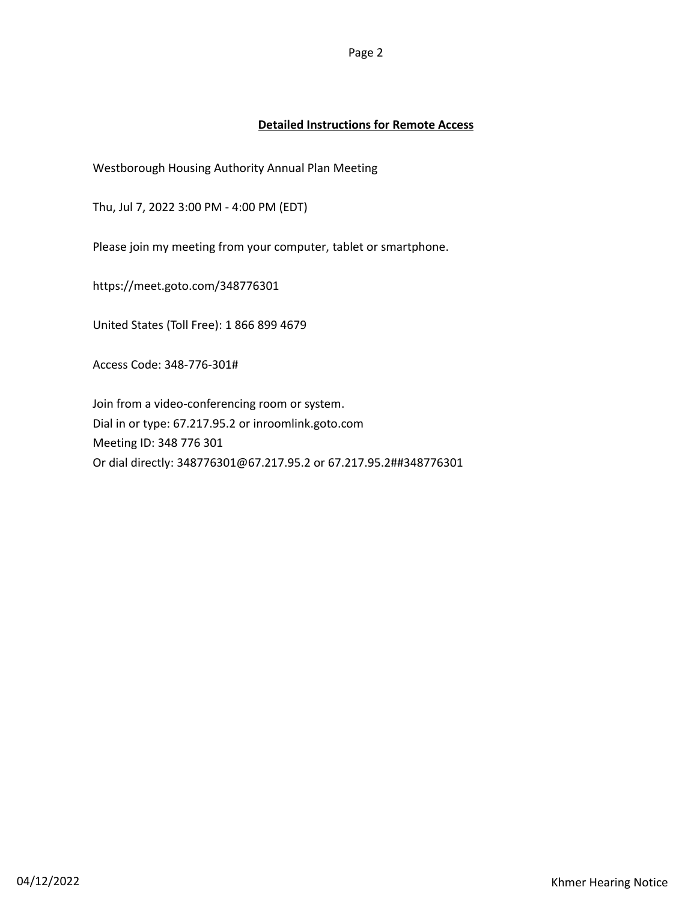Westborough Housing Authority Annual Plan Meeting

Thu, Jul 7, 2022 3:00 PM - 4:00 PM (EDT)

Please join my meeting from your computer, tablet or smartphone.

https://meet.goto.com/348776301

United States (Toll Free): 1 866 899 4679

Access Code: 348-776-301#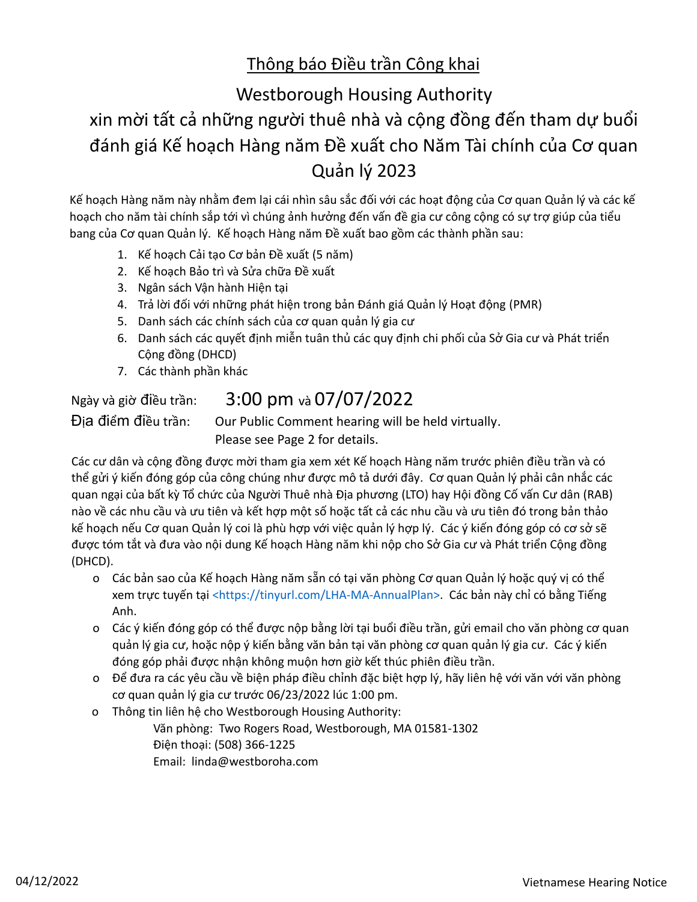## Thông báo Điều trần Công khai

# Westborough Housing Authority xin mời tất cả những người thuê nhà và cộng đồng đến tham dự buổi đánh giá Kế hoạch Hàng năm Đề xuất cho Năm Tài chính của Cơ quan Quản lý 2023

Kế hoạch Hàng năm này nhằm đem lại cái nhìn sâu sắc đối với các hoạt động của Cơ quan Quản lý và các kế hoạch cho năm tài chính sắp tới vì chúng ảnh hưởng đến vấn đề gia cư công cộng có sự trợ giúp của tiểu bang của Cơ quan Quản lý. Kế hoạch Hàng năm Đề xuất bao gồm các thành phần sau:

- 1. Kế hoạch Cải tạo Cơ bản Đề xuất (5 năm)
- 2. Kế hoạch Bảo trì và Sửa chữa Đề xuất
- 3. Ngân sách Vận hành Hiện tại
- 4. Trả lời đối với những phát hiện trong bản Đánh giá Quản lý Hoạt động (PMR)
- 5. Danh sách các chính sách của cơ quan quản lý gia cư
- 6. Danh sách các quyết định miễn tuân thủ các quy định chi phối của Sở Gia cư và Phát triển Cộng đồng (DHCD)
- 7. Các thành phần khác

## Ngày và giờ điều trần: 3:00 pm và 07/07/2022

Địa điểm điều trần: Our Public Comment hearing will be held virtually. Please see Page 2 for details.

Các cư dân và cộng đồng được mời tham gia xem xét Kế hoạch Hàng năm trước phiên điều trần và có thể gửi ý kiến đóng góp của công chúng như được mô tả dưới đây. Cơ quan Quản lý phải cân nhắc các quan ngại của bất kỳ Tổ chức của Người Thuê nhà Địa phương (LTO) hay Hội đồng Cố vấn Cư dân (RAB) nào về các nhu cầu và ưu tiên và kết hợp một số hoặc tất cả các nhu cầu và ưu tiên đó trong bản thảo kế hoạch nếu Cơ quan Quản lý coi là phù hợp với việc quản lý hợp lý. Các ý kiến đóng góp có cơ sở sẽ được tóm tắt và đưa vào nội dung Kế hoạch Hàng năm khi nộp cho Sở Gia cư và Phát triển Cộng đồng (DHCD).

- o Các bản sao của Kế hoạch Hàng năm sẵn có tại văn phòng Cơ quan Quản lý hoặc quý vị có thể xem trực tuyến tại <https://tinyurl.com/LHA-MA-AnnualPlan>. Các bản này chỉ có bằng Tiếng Anh.
- o Các ý kiến đóng góp có thể được nộp bằng lời tại buổi điều trần, gửi email cho văn phòng cơ quan quản lý gia cư, hoặc nộp ý kiến bằng văn bản tại văn phòng cơ quan quản lý gia cư. Các ý kiến đóng góp phải được nhận không muộn hơn giờ kết thúc phiên điều trần.
- o Để đưa ra các yêu cầu về biện pháp điều chỉnh đặc biệt hợp lý, hãy liên hệ với văn với văn phòng cơ quan quản lý gia cư trước 06/23/2022 lúc 1:00 pm.
- o Thông tin liên hệ cho Westborough Housing Authority:

 Văn phòng: Two Rogers Road, Westborough, MA 01581-1302 Điện thoại: (508) 366-1225 Email: linda@westboroha.com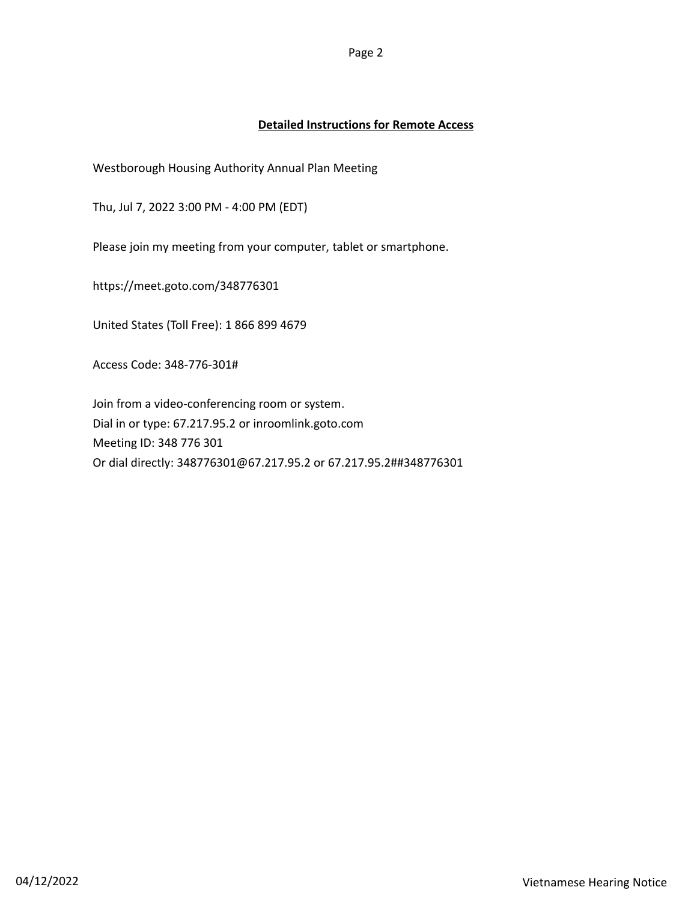Westborough Housing Authority Annual Plan Meeting

Thu, Jul 7, 2022 3:00 PM - 4:00 PM (EDT)

Please join my meeting from your computer, tablet or smartphone.

https://meet.goto.com/348776301

United States (Toll Free): 1 866 899 4679

Access Code: 348-776-301#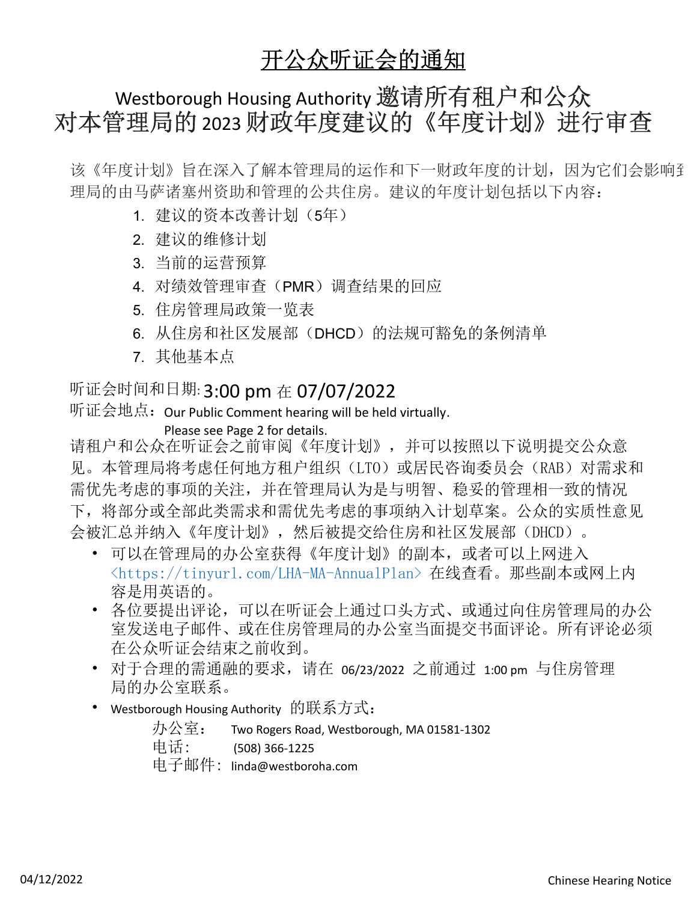# 开公众听证会的通知

# Westborough Housing Authority 邀请所有租户和公众 对本管理局的 2023 财政年度建议的《年度计划》进行审查

该《年度计划》旨在深入了解本管理局的运作和下一财政年度的计划,因为它们会影响到 理局的由马萨诸塞州资助和管理的公共住房。建议的年度计划包括以下内容:

- 1. 建议的资本改善计划(5年)
- 2. 建议的维修计划
- 3. 当前的运营预算
- 4. 对绩效管理审查(PMR)调查结果的回应
- 5. 住房管理局政策一览表
- 6. 从住房和社区发展部(DHCD)的法规可豁免的条例清单
- 7. 其他基本点

### 听证会时间和日期: 3:00 pm 在 07/07/2022

听证会地点: Our Public Comment hearing will be held virtually.

Please see Page 2 for details.

请租户和公众在听证会之前审阅《年度计划》,并可以按照以下说明提交公众意 见。本管理局将考虑任何地方租户组织(LTO)或居民咨询委员会(RAB)对需求和 需优先考虑的事项的关注,并在管理局认为是与明智、稳妥的管理相一致的情况 下,将部分或全部此类需求和需优先考虑的事项纳入计划草案。公众的实质性意见 会被汇总并纳入《年度计划》,然后被提交给住房和社区发展部(DHCD)。

- 可以在管理局的办公室获得《年度计划》的副本,或者可以上网进入 <https://tinyurl.com/LHA-MA-AnnualPlan> 在线查看。那些副本或网上内 容是用英语的。
- 各位要提出评论,可以在听证会上通过口头方式、或通过向住房管理局的办公 室发送电子邮件、或在住房管理局的办公室当面提交书面评论。所有评论必须 在公众听证会结束之前收到。
- 对于合理的需通融的要求,请在 06/23/2022 之前通过 1:00 pm 与住房管理 局的办公室联系。
- Westborough Housing Authority 的联系方式:

办公室: Two Rogers Road, Westborough, MA 01581-1302 电话: (508) 366-1225 电子邮件: linda@westboroha.com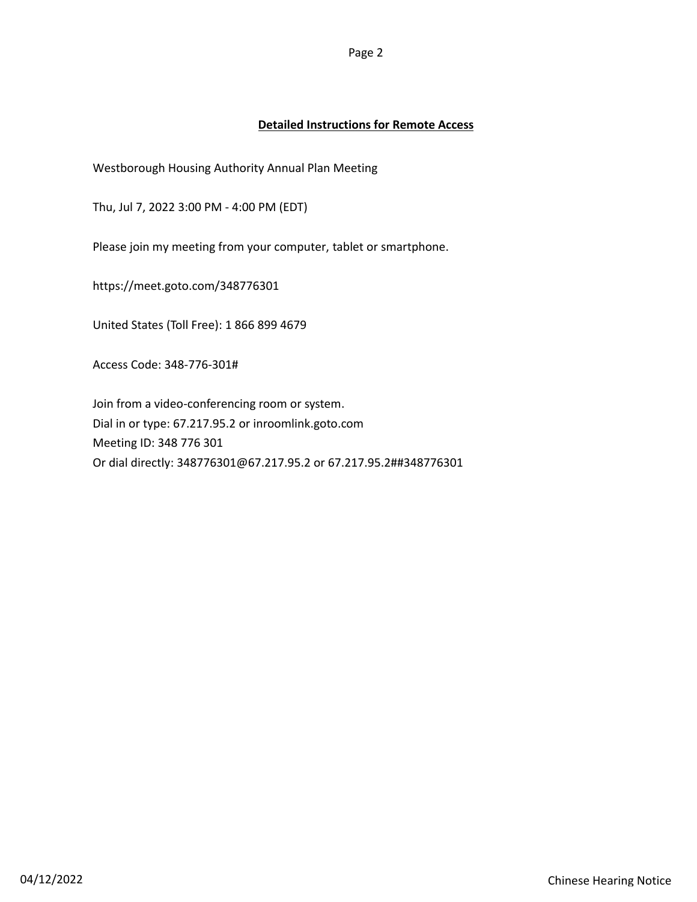Westborough Housing Authority Annual Plan Meeting

Thu, Jul 7, 2022 3:00 PM - 4:00 PM (EDT)

Please join my meeting from your computer, tablet or smartphone.

https://meet.goto.com/348776301

United States (Toll Free): 1 866 899 4679

Access Code: 348-776-301#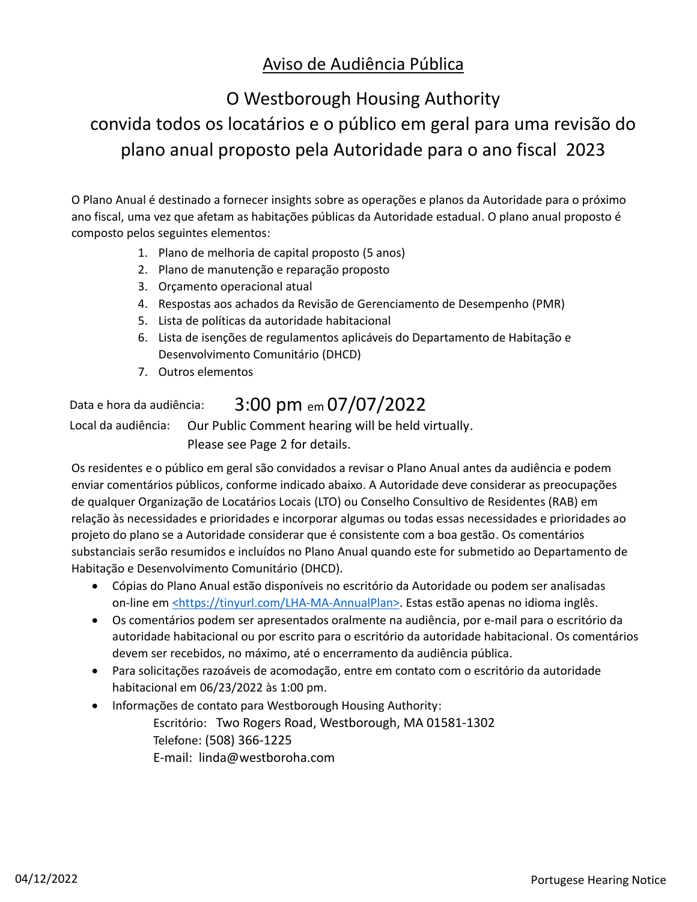## Aviso de Audiência Pública

# O Westborough Housing Authority convida todos os locatários e o público em geral para uma revisão do plano anual proposto pela Autoridade para o ano fiscal 2023

O Plano Anual é destinado a fornecer insights sobre as operações e planos da Autoridade para o próximo ano fiscal, uma vez que afetam as habitações públicas da Autoridade estadual. O plano anual proposto é composto pelos seguintes elementos:

- 1. Plano de melhoria de capital proposto (5 anos)
- 2. Plano de manutenção e reparação proposto
- 3. Orçamento operacional atual
- 4. Respostas aos achados da Revisão de Gerenciamento de Desempenho (PMR)
- 5. Lista de políticas da autoridade habitacional
- 6. Lista de isenções de regulamentos aplicáveis do Departamento de Habitação e Desenvolvimento Comunitário (DHCD)
- 7. Outros elementos

### Data e hora da audiência: 3:00 pm em 07/07/2022

Local da audiência: Our Public Comment hearing will be held virtually. Please see Page 2 for details.

Os residentes e o público em geral são convidados a revisar o Plano Anual antes da audiência e podem enviar comentários públicos, conforme indicado abaixo. A Autoridade deve considerar as preocupações de qualquer Organização de Locatários Locais (LTO) ou Conselho Consultivo de Residentes (RAB) em relação às necessidades e prioridades e incorporar algumas ou todas essas necessidades e prioridades ao projeto do plano se a Autoridade considerar que é consistente com a boa gestão. Os comentários substanciais serão resumidos e incluídos no Plano Anual quando este for submetido ao Departamento de Habitação e Desenvolvimento Comunitário (DHCD).

- · Cópias do Plano Anual estão disponíveis no escritório da Autoridade ou podem ser analisadas on-line em <https://tinyurl.com/LHA-MA-AnnualPlan>. Estas estão apenas no idioma inglês.
- · Os comentários podem ser apresentados oralmente na audiência, por e-mail para o escritório da autoridade habitacional ou por escrito para o escritório da autoridade habitacional. Os comentários devem ser recebidos, no máximo, até o encerramento da audiência pública.
- · Para solicitações razoáveis de acomodação, entre em contato com o escritório da autoridade habitacional em 06/23/2022 às 1:00 pm.
- · Informações de contato para Westborough Housing Authority: Escritório: Two Rogers Road, Westborough, MA 01581-1302 Telefone: (508) 366-1225 E-mail: linda@westboroha.com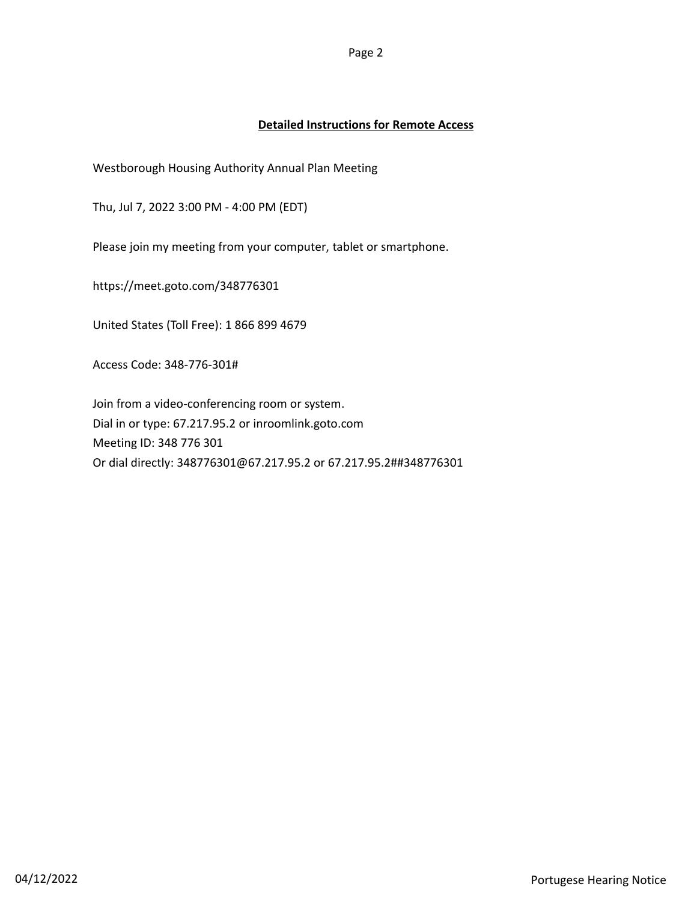Westborough Housing Authority Annual Plan Meeting

Thu, Jul 7, 2022 3:00 PM - 4:00 PM (EDT)

Please join my meeting from your computer, tablet or smartphone.

https://meet.goto.com/348776301

United States (Toll Free): 1 866 899 4679

Access Code: 348-776-301#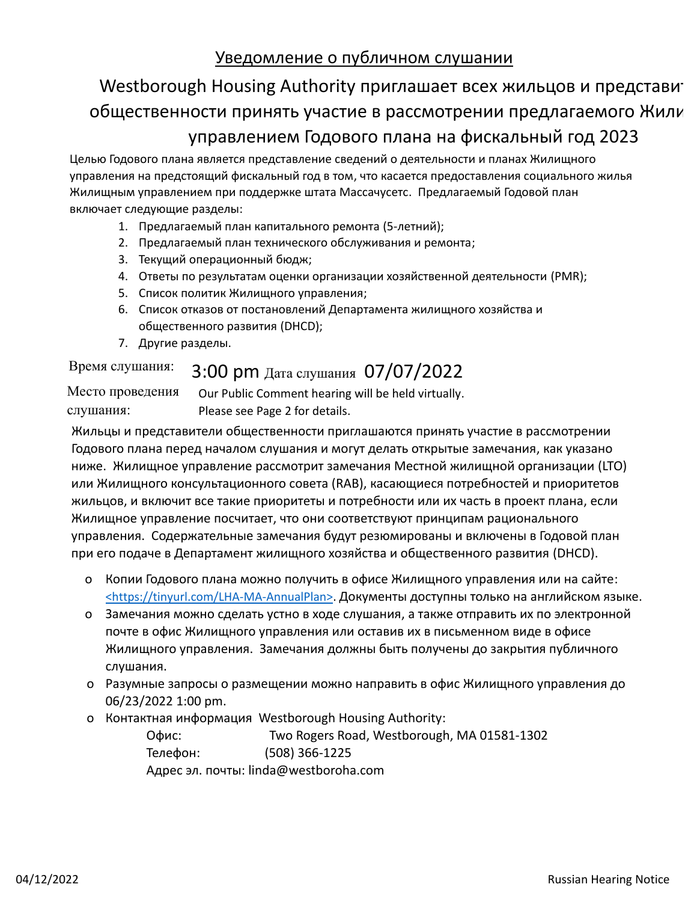### Уведомление о публичном слушании

# Westborough Housing Authority приглашает всех жильцов и представит общественности принять участие в рассмотрении предлагаемого Жили управлением Годового плана на фискальный год 2023

Целью Годового плана является представление сведений о деятельности и планах Жилищного управления на предстоящий фискальный год в том, что касается предоставления социального жилья Жилищным управлением при поддержке штата Массачусетс. Предлагаемый Годовой план включает следующие разделы:

- 1. Предлагаемый план капитального ремонта (5-летний);
- 2. Предлагаемый план технического обслуживания и ремонта;
- 3. Текущий операционный бюдж;
- 4. Ответы по результатам оценки организации хозяйственной деятельности (PMR);
- 5. Список политик Жилищного управления;
- 6. Список отказов от постановлений Департамента жилищного хозяйства и общественного развития (DHCD);
- 7. Другие разделы.

## Время слушания: 3:00 pm Дата слушания 07/07/2022

Место проведения слушания:

Our Public Comment hearing will be held virtually. Please see Page 2 for details.

Жильцы и представители общественности приглашаются принять участие в рассмотрении Годового плана перед началом слушания и могут делать открытые замечания, как указано ниже. Жилищное управление рассмотрит замечания Местной жилищной организации (LTO) или Жилищного консультационного совета (RAB), касающиеся потребностей и приоритетов жильцов, и включит все такие приоритеты и потребности или их часть в проект плана, если Жилищное управление посчитает, что они соответствуют принципам рационального управления. Содержательные замечания будут резюмированы и включены в Годовой план при его подаче в Департамент жилищного хозяйства и общественного развития (DHCD).

- o Копии Годового плана можно получить в офисе Жилищного управления или на сайте: <https://tinyurl.com/LHA-MA-AnnualPlan>. Документы доступны только на английском языке.
- o Замечания можно сделать устно в ходе слушания, а также отправить их по электронной почте в офис Жилищного управления или оставив их в письменном виде в офисе Жилищного управления. Замечания должны быть получены до закрытия публичного слушания.
- o Разумные запросы о размещении можно направить в офис Жилищного управления до 06/23/2022 1:00 pm.
- o Контактная информация Westborough Housing Authority:

Офис: Two Rogers Road, Westborough, MA 01581-1302 Телефон: (508) 366-1225 Адрес эл. почты: linda@westboroha.com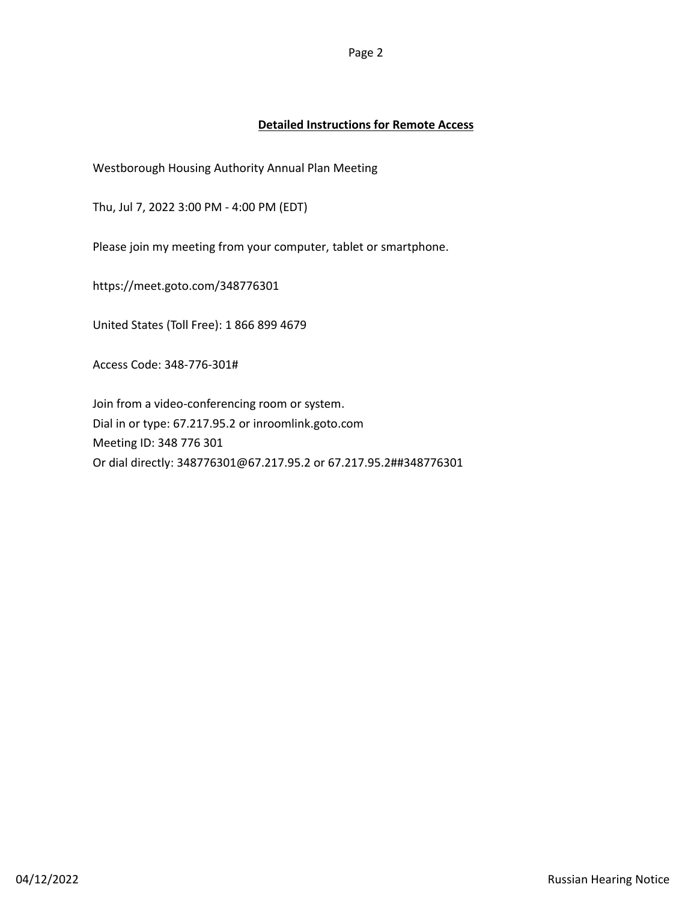Westborough Housing Authority Annual Plan Meeting

Thu, Jul 7, 2022 3:00 PM - 4:00 PM (EDT)

Please join my meeting from your computer, tablet or smartphone.

https://meet.goto.com/348776301

United States (Toll Free): 1 866 899 4679

Access Code: 348-776-301#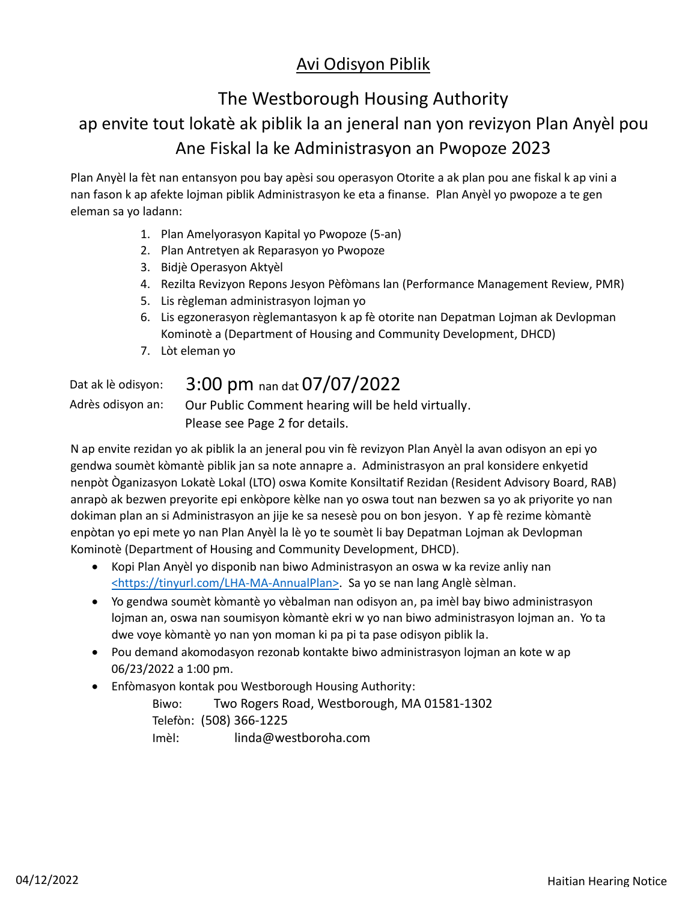## Avi Odisyon Piblik

## The Westborough Housing Authority ap envite tout lokatè ak piblik la an jeneral nan yon revizyon Plan Anyèl pou Ane Fiskal la ke Administrasyon an Pwopoze 2023

Plan Anyèl la fèt nan entansyon pou bay apèsi sou operasyon Otorite a ak plan pou ane fiskal k ap vini a nan fason k ap afekte lojman piblik Administrasyon ke eta a finanse. Plan Anyèl yo pwopoze a te gen eleman sa yo ladann:

- 1. Plan Amelyorasyon Kapital yo Pwopoze (5-an)
- 2. Plan Antretyen ak Reparasyon yo Pwopoze
- 3. Bidjè Operasyon Aktyèl
- 4. Rezilta Revizyon Repons Jesyon Pèfòmans lan (Performance Management Review, PMR)
- 5. Lis règleman administrasyon lojman yo
- 6. Lis egzonerasyon règlemantasyon k ap fè otorite nan Depatman Lojman ak Devlopman Kominotè a (Department of Housing and Community Development, DHCD)
- 7. Lòt eleman yo

## Dat ak lè odisyon: 3:00 pm nan dat 07/07/2022

Adrès odisyon an: Our Public Comment hearing will be held virtually. Please see Page 2 for details.

N ap envite rezidan yo ak piblik la an jeneral pou vin fè revizyon Plan Anyèl la avan odisyon an epi yo gendwa soumèt kòmantè piblik jan sa note annapre a. Administrasyon an pral konsidere enkyetid nenpòt Òganizasyon Lokatè Lokal (LTO) oswa Komite Konsiltatif Rezidan (Resident Advisory Board, RAB) anrapò ak bezwen preyorite epi enkòpore kèlke nan yo oswa tout nan bezwen sa yo ak priyorite yo nan dokiman plan an si Administrasyon an jije ke sa nesesè pou on bon jesyon. Y ap fè rezime kòmantè enpòtan yo epi mete yo nan Plan Anyèl la lè yo te soumèt li bay Depatman Lojman ak Devlopman Kominotè (Department of Housing and Community Development, DHCD).

- · Kopi Plan Anyèl yo disponib nan biwo Administrasyon an oswa w ka revize anliy nan <https://tinyurl.com/LHA-MA-AnnualPlan>. Sa yo se nan lang Anglè sèlman.
- · Yo gendwa soumèt kòmantè yo vèbalman nan odisyon an, pa imèl bay biwo administrasyon lojman an, oswa nan soumisyon kòmantè ekri w yo nan biwo administrasyon lojman an. Yo ta dwe voye kòmantè yo nan yon moman ki pa pi ta pase odisyon piblik la.
- · Pou demand akomodasyon rezonab kontakte biwo administrasyon lojman an kote w ap 06/23/2022 a 1:00 pm.
- · Enfòmasyon kontak pou Westborough Housing Authority:

Biwo: Two Rogers Road, Westborough, MA 01581-1302 Telefòn: (508) 366-1225 Imèl: linda@westboroha.com